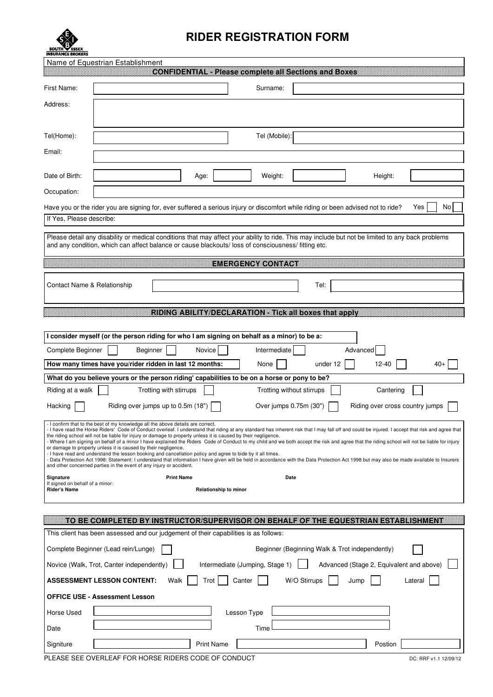

## RIDER REGISTRATION FORM

|                                                                                                                                                                                                                                                                                                                                                                                                                                                          | Name of Equestrian Establishment   |                        |                              | <b>CONFIDENTIAL</b> - Please complete all Sections and Boxes                                                                                                                                                                                                                                                                                                                                                                                                                                                                                                                                |              |                                          |          |                                              |         |       |
|----------------------------------------------------------------------------------------------------------------------------------------------------------------------------------------------------------------------------------------------------------------------------------------------------------------------------------------------------------------------------------------------------------------------------------------------------------|------------------------------------|------------------------|------------------------------|---------------------------------------------------------------------------------------------------------------------------------------------------------------------------------------------------------------------------------------------------------------------------------------------------------------------------------------------------------------------------------------------------------------------------------------------------------------------------------------------------------------------------------------------------------------------------------------------|--------------|------------------------------------------|----------|----------------------------------------------|---------|-------|
| First Name:                                                                                                                                                                                                                                                                                                                                                                                                                                              |                                    |                        |                              | Surname:                                                                                                                                                                                                                                                                                                                                                                                                                                                                                                                                                                                    |              |                                          |          |                                              |         |       |
| Address:                                                                                                                                                                                                                                                                                                                                                                                                                                                 |                                    |                        |                              |                                                                                                                                                                                                                                                                                                                                                                                                                                                                                                                                                                                             |              |                                          |          |                                              |         |       |
| Tel(Home):                                                                                                                                                                                                                                                                                                                                                                                                                                               |                                    |                        |                              | Tel (Mobile):                                                                                                                                                                                                                                                                                                                                                                                                                                                                                                                                                                               |              |                                          |          |                                              |         |       |
| Email:                                                                                                                                                                                                                                                                                                                                                                                                                                                   |                                    |                        |                              |                                                                                                                                                                                                                                                                                                                                                                                                                                                                                                                                                                                             |              |                                          |          |                                              |         |       |
| Date of Birth:                                                                                                                                                                                                                                                                                                                                                                                                                                           |                                    |                        | Age:                         | Weight:                                                                                                                                                                                                                                                                                                                                                                                                                                                                                                                                                                                     |              |                                          |          | Height:                                      |         |       |
| Occupation:                                                                                                                                                                                                                                                                                                                                                                                                                                              |                                    |                        |                              |                                                                                                                                                                                                                                                                                                                                                                                                                                                                                                                                                                                             |              |                                          |          |                                              |         |       |
|                                                                                                                                                                                                                                                                                                                                                                                                                                                          |                                    |                        |                              | Have you or the rider you are signing for, ever suffered a serious injury or discomfort while riding or been advised not to ride?                                                                                                                                                                                                                                                                                                                                                                                                                                                           |              |                                          |          |                                              | Yes     | No    |
| If Yes, Please describe:                                                                                                                                                                                                                                                                                                                                                                                                                                 |                                    |                        |                              |                                                                                                                                                                                                                                                                                                                                                                                                                                                                                                                                                                                             |              |                                          |          |                                              |         |       |
|                                                                                                                                                                                                                                                                                                                                                                                                                                                          |                                    |                        |                              | Please detail any disability or medical conditions that may affect your ability to ride. This may include but not be limited to any back problems<br>and any condition, which can affect balance or cause blackouts/loss of consciousness/ fitting etc.                                                                                                                                                                                                                                                                                                                                     |              |                                          |          |                                              |         |       |
|                                                                                                                                                                                                                                                                                                                                                                                                                                                          |                                    |                        |                              | <b>EMERGENCY CONTACT</b>                                                                                                                                                                                                                                                                                                                                                                                                                                                                                                                                                                    |              |                                          |          |                                              |         |       |
| Contact Name & Relationship                                                                                                                                                                                                                                                                                                                                                                                                                              |                                    |                        |                              |                                                                                                                                                                                                                                                                                                                                                                                                                                                                                                                                                                                             |              | Tel:                                     |          |                                              |         |       |
|                                                                                                                                                                                                                                                                                                                                                                                                                                                          |                                    |                        |                              | RIDING ABILITY DECLARATION - Tick all boxes that apply                                                                                                                                                                                                                                                                                                                                                                                                                                                                                                                                      |              |                                          |          |                                              |         |       |
|                                                                                                                                                                                                                                                                                                                                                                                                                                                          |                                    |                        |                              |                                                                                                                                                                                                                                                                                                                                                                                                                                                                                                                                                                                             |              |                                          |          |                                              |         |       |
|                                                                                                                                                                                                                                                                                                                                                                                                                                                          |                                    |                        |                              | I consider myself (or the person riding for who I am signing on behalf as a minor) to be a:                                                                                                                                                                                                                                                                                                                                                                                                                                                                                                 |              |                                          |          |                                              |         |       |
| Complete Beginner                                                                                                                                                                                                                                                                                                                                                                                                                                        |                                    | Beginner               | Novice                       | Intermediate                                                                                                                                                                                                                                                                                                                                                                                                                                                                                                                                                                                |              |                                          | Advanced |                                              |         |       |
| How many times have you/rider ridden in last 12 months:                                                                                                                                                                                                                                                                                                                                                                                                  |                                    |                        |                              |                                                                                                                                                                                                                                                                                                                                                                                                                                                                                                                                                                                             |              |                                          |          |                                              |         |       |
|                                                                                                                                                                                                                                                                                                                                                                                                                                                          |                                    |                        |                              | None                                                                                                                                                                                                                                                                                                                                                                                                                                                                                                                                                                                        |              | under 12                                 |          | $12 - 40$                                    |         | $40+$ |
|                                                                                                                                                                                                                                                                                                                                                                                                                                                          |                                    |                        |                              | What do you believe yours or the person riding' capabilities to be on a horse or pony to be?                                                                                                                                                                                                                                                                                                                                                                                                                                                                                                |              |                                          |          |                                              |         |       |
| Riding at a walk<br>Hacking                                                                                                                                                                                                                                                                                                                                                                                                                              | Riding over jumps up to 0.5m (18") | Trotting with stirrups |                              | Trotting without stirrups<br>Over jumps 0.75m (30")                                                                                                                                                                                                                                                                                                                                                                                                                                                                                                                                         |              |                                          |          | Cantering<br>Riding over cross country jumps |         |       |
| - I confirm that to the best of my knowledge all the above details are correct.<br>the riding school will not be liable for injury or damage to property unless it is caused by their negligence.<br>or damage to property unless it is caused by their negligence.<br>- I have read and understand the lesson booking and cancellation policy and agree to bide by it all times.<br>and other concerned parties in the event of any injury or accident. |                                    |                        |                              | I have read the Horse Riders' Code of Conduct overleaf. I understand that riding at any standard has inherent risk that I may fall off and could be injured. I accept that risk and agree that<br>- Where I am signing on behalf of a minor I have explained the Riders Code of Conduct to my child and we both accept the risk and agree that the riding school will not be liable for injury<br>- Data Protection Act 1998: Statement: I understand that information I have given will be held in accordance with the Data Protection Act 1998 but may also be made available to Insurers |              |                                          |          |                                              |         |       |
| Signature<br>If signed on behalf of a minor:<br><b>Rider's Name</b>                                                                                                                                                                                                                                                                                                                                                                                      |                                    | <b>Print Name</b>      | <b>Relationship to minor</b> | Date                                                                                                                                                                                                                                                                                                                                                                                                                                                                                                                                                                                        |              |                                          |          |                                              |         |       |
|                                                                                                                                                                                                                                                                                                                                                                                                                                                          |                                    |                        |                              | TO BE COMPLETED BY INSTRUCTOR/SUPERVISOR ON BEHALF OF THE EQUESTRIAN ESTABLISHMENT                                                                                                                                                                                                                                                                                                                                                                                                                                                                                                          |              |                                          |          |                                              |         |       |
| This client has been assessed and our judgement of their capabilities is as follows:                                                                                                                                                                                                                                                                                                                                                                     |                                    |                        |                              |                                                                                                                                                                                                                                                                                                                                                                                                                                                                                                                                                                                             |              |                                          |          |                                              |         |       |
| Complete Beginner (Lead rein/Lunge)                                                                                                                                                                                                                                                                                                                                                                                                                      |                                    |                        |                              | Beginner (Beginning Walk & Trot independently)                                                                                                                                                                                                                                                                                                                                                                                                                                                                                                                                              |              |                                          |          |                                              |         |       |
| Novice (Walk, Trot, Canter independently)                                                                                                                                                                                                                                                                                                                                                                                                                |                                    |                        |                              | Intermediate (Jumping, Stage 1)                                                                                                                                                                                                                                                                                                                                                                                                                                                                                                                                                             |              | Advanced (Stage 2, Equivalent and above) |          |                                              |         |       |
| <b>ASSESSMENT LESSON CONTENT:</b>                                                                                                                                                                                                                                                                                                                                                                                                                        |                                    | Walk                   | Trot                         | Canter                                                                                                                                                                                                                                                                                                                                                                                                                                                                                                                                                                                      | W/O Stirrups |                                          | Jump     |                                              | Lateral |       |
| <b>OFFICE USE - Assessment Lesson</b>                                                                                                                                                                                                                                                                                                                                                                                                                    |                                    |                        |                              |                                                                                                                                                                                                                                                                                                                                                                                                                                                                                                                                                                                             |              |                                          |          |                                              |         |       |
| Horse Used                                                                                                                                                                                                                                                                                                                                                                                                                                               |                                    |                        |                              | Lesson Type                                                                                                                                                                                                                                                                                                                                                                                                                                                                                                                                                                                 |              |                                          |          |                                              |         |       |
| Date                                                                                                                                                                                                                                                                                                                                                                                                                                                     |                                    |                        |                              | Time                                                                                                                                                                                                                                                                                                                                                                                                                                                                                                                                                                                        |              |                                          |          |                                              |         |       |

PLEASE SEE OVERLEAF FOR HORSE RIDERS CODE OF CONDUCT DESCRIPTION OF A REPORT OF A REPORT OF A REPORT OF A REPORT OF A REPORT OF A REPORT OF A REPORT OF A REPORT OF A REPORT OF A REPORT OF A REPORT OF A REPORT OF A REPORT O